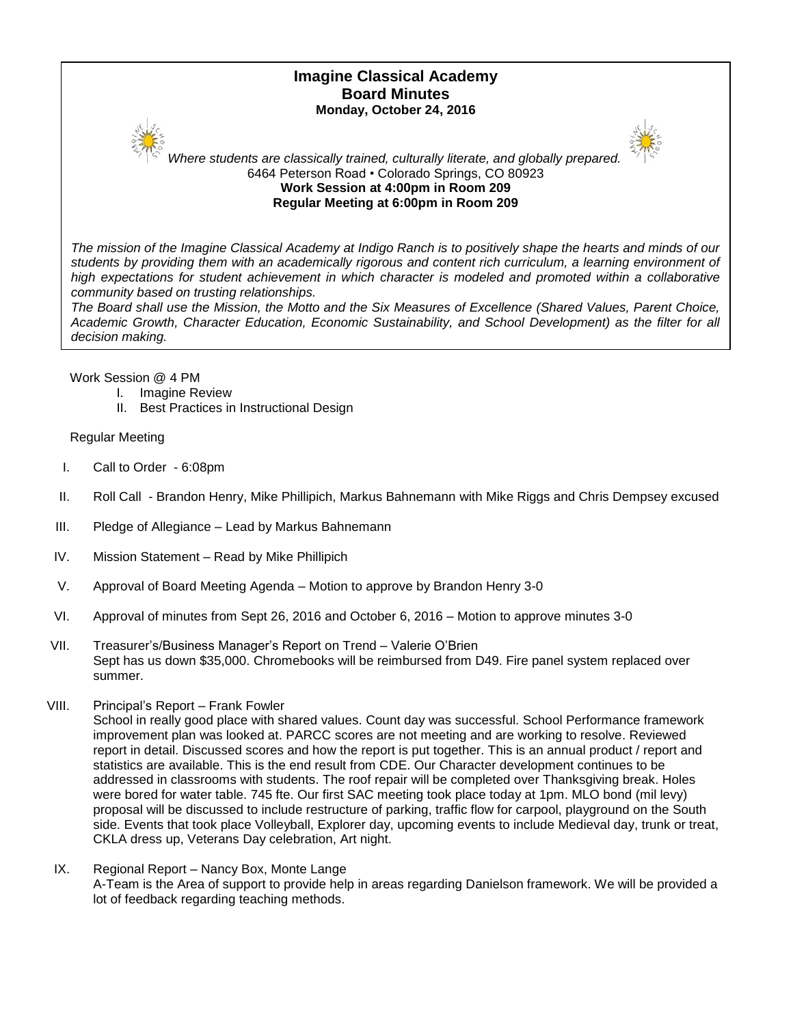# **Imagine Classical Academy Board Minutes Monday, October 24, 2016**





*Where students are classically trained, culturally literate, and globally prepared.* 6464 Peterson Road • Colorado Springs, CO 80923 **Work Session at 4:00pm in Room 209 Regular Meeting at 6:00pm in Room 209**

*The mission of the Imagine Classical Academy at Indigo Ranch is to positively shape the hearts and minds of our*  students by providing them with an academically rigorous and content rich curriculum, a learning environment of *high expectations for student achievement in which character is modeled and promoted within a collaborative community based on trusting relationships.*

*The Board shall use the Mission, the Motto and the Six Measures of Excellence (Shared Values, Parent Choice, Academic Growth, Character Education, Economic Sustainability, and School Development) as the filter for all decision making.*

Work Session @ 4 PM

- I. Imagine Review
- II. Best Practices in Instructional Design

Regular Meeting

- I. Call to Order 6:08pm
- II. Roll Call Brandon Henry, Mike Phillipich, Markus Bahnemann with Mike Riggs and Chris Dempsey excused
- III. Pledge of Allegiance Lead by Markus Bahnemann
- IV. Mission Statement Read by Mike Phillipich
- V. Approval of Board Meeting Agenda Motion to approve by Brandon Henry 3-0
- VI. Approval of minutes from Sept 26, 2016 and October 6, 2016 Motion to approve minutes 3-0
- VII. Treasurer's/Business Manager's Report on Trend Valerie O'Brien Sept has us down \$35,000. Chromebooks will be reimbursed from D49. Fire panel system replaced over summer.
- VIII. Principal's Report Frank Fowler

School in really good place with shared values. Count day was successful. School Performance framework improvement plan was looked at. PARCC scores are not meeting and are working to resolve. Reviewed report in detail. Discussed scores and how the report is put together. This is an annual product / report and statistics are available. This is the end result from CDE. Our Character development continues to be addressed in classrooms with students. The roof repair will be completed over Thanksgiving break. Holes were bored for water table. 745 fte. Our first SAC meeting took place today at 1pm. MLO bond (mil levy) proposal will be discussed to include restructure of parking, traffic flow for carpool, playground on the South side. Events that took place Volleyball, Explorer day, upcoming events to include Medieval day, trunk or treat, CKLA dress up, Veterans Day celebration, Art night.

IX. Regional Report – Nancy Box, Monte Lange A-Team is the Area of support to provide help in areas regarding Danielson framework. We will be provided a lot of feedback regarding teaching methods.